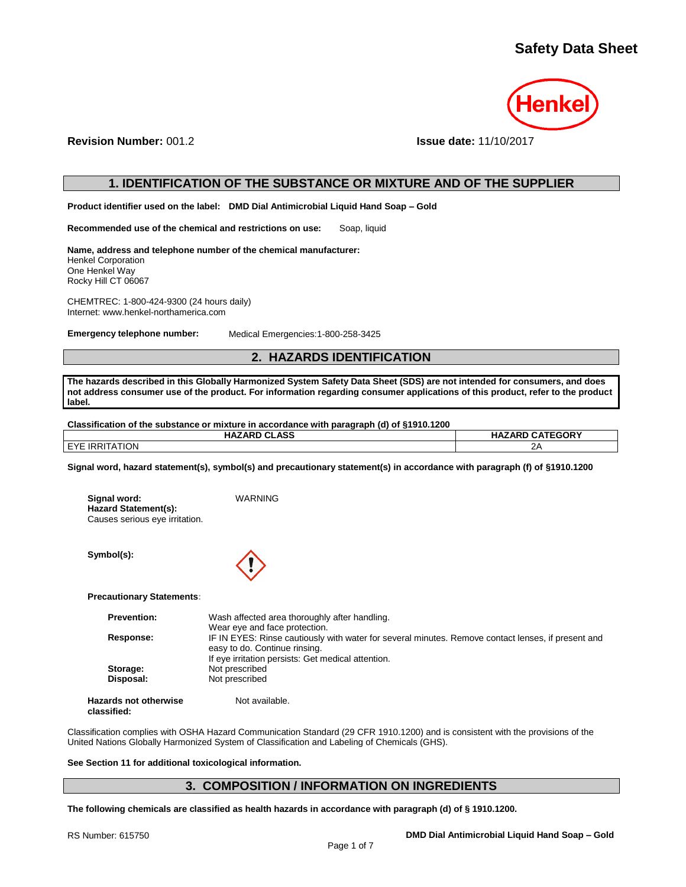

**Revision Number:** 001.2 **Issue date:** 11/10/2017

# **1. IDENTIFICATION OF THE SUBSTANCE OR MIXTURE AND OF THE SUPPLIER**

**Product identifier used on the label: DMD Dial Antimicrobial Liquid Hand Soap – Gold**

**Recommended use of the chemical and restrictions on use:** Soap, liquid

**Name, address and telephone number of the chemical manufacturer:** Henkel Corporation One Henkel Way Rocky Hill CT 06067

CHEMTREC: 1-800-424-9300 (24 hours daily) Internet: www.henkel-northamerica.com

**Emergency telephone number:** Medical Emergencies:1-800-258-3425

# **2. HAZARDS IDENTIFICATION**

**The hazards described in this Globally Harmonized System Safety Data Sheet (SDS) are not intended for consumers, and does not address consumer use of the product. For information regarding consumer applications of this product, refer to the product label.**

| Classification of the substance or mixture in accordance with paragraph (d) of §1910.1200 |  |  |  |
|-------------------------------------------------------------------------------------------|--|--|--|
| <b>HAZARD CLASS</b><br><b>HAZARD CATEGORY</b>                                             |  |  |  |
| EYE IRRITATION                                                                            |  |  |  |

**Signal word, hazard statement(s), symbol(s) and precautionary statement(s) in accordance with paragraph (f) of §1910.1200**

| Signal word:                   | WARNING |
|--------------------------------|---------|
| <b>Hazard Statement(s):</b>    |         |
| Causes serious eye irritation. |         |

**Symbol(s):**



**Precautionary Statements:**

| <b>Prevention:</b>  | Wash affected area thoroughly after handling.                                                                                       |
|---------------------|-------------------------------------------------------------------------------------------------------------------------------------|
|                     | Wear eye and face protection.                                                                                                       |
| Response:           | IF IN EYES: Rinse cautiously with water for several minutes. Remove contact lenses, if present and<br>easy to do. Continue rinsing. |
|                     | If eye irritation persists: Get medical attention.                                                                                  |
| Storage:            | Not prescribed                                                                                                                      |
| Disposal:           | Not prescribed                                                                                                                      |
| zards not otherwise | Not available.                                                                                                                      |

**Hazards not otherwise classified:**

Classification complies with OSHA Hazard Communication Standard (29 CFR 1910.1200) and is consistent with the provisions of the United Nations Globally Harmonized System of Classification and Labeling of Chemicals (GHS).

## **See Section 11 for additional toxicological information.**

# **3. COMPOSITION / INFORMATION ON INGREDIENTS**

**The following chemicals are classified as health hazards in accordance with paragraph (d) of § 1910.1200.**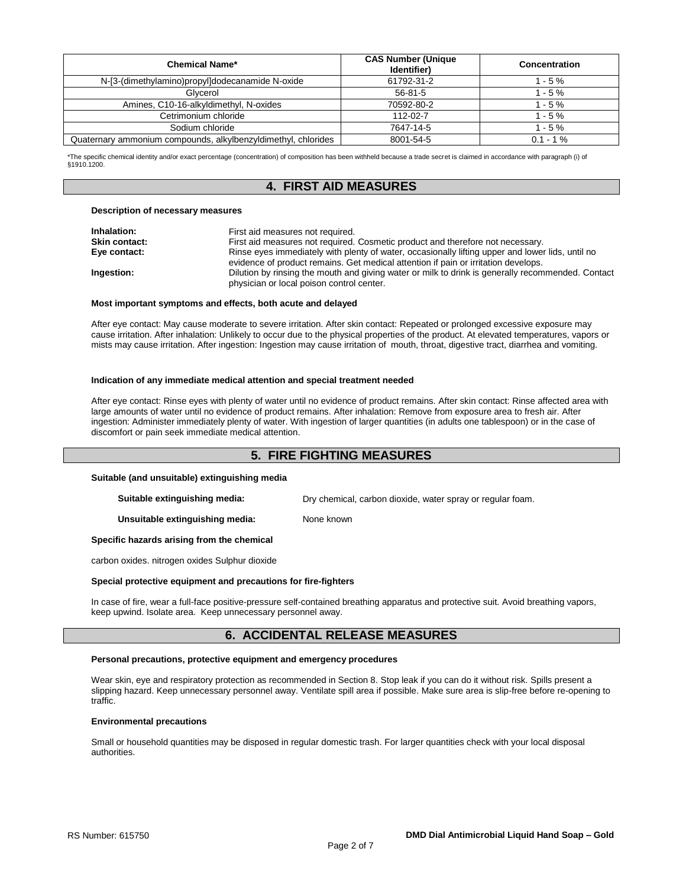| <b>Chemical Name*</b>                                         | <b>CAS Number (Unique</b><br>Identifier) | Concentration |
|---------------------------------------------------------------|------------------------------------------|---------------|
| N-[3-(dimethylamino)propyl]dodecanamide N-oxide               | 61792-31-2                               | $1 - 5 \%$    |
| Glycerol                                                      | $56 - 81 - 5$                            | $1 - 5%$      |
| Amines, C10-16-alkyldimethyl, N-oxides                        | 70592-80-2                               | $1 - 5 \%$    |
| Cetrimonium chloride                                          | 112-02-7                                 | $1 - 5%$      |
| Sodium chloride                                               | 7647-14-5                                | $1 - 5%$      |
| Quaternary ammonium compounds, alkylbenzyldimethyl, chlorides | 8001-54-5                                | $0.1 - 1\%$   |

\*The specific chemical identity and/or exact percentage (concentration) of composition has been withheld because a trade secret is claimed in accordance with paragraph (i) of §1910.1200.

# **4. FIRST AID MEASURES**

#### **Description of necessary measures**

| Inhalation:          | First aid measures not required.                                                                  |
|----------------------|---------------------------------------------------------------------------------------------------|
| <b>Skin contact:</b> | First aid measures not required. Cosmetic product and therefore not necessary.                    |
| Eye contact:         | Rinse eyes immediately with plenty of water, occasionally lifting upper and lower lids, until no  |
|                      | evidence of product remains. Get medical attention if pain or irritation develops.                |
| Ingestion:           | Dilution by rinsing the mouth and giving water or milk to drink is generally recommended. Contact |
|                      | physician or local poison control center.                                                         |

#### **Most important symptoms and effects, both acute and delayed**

After eye contact: May cause moderate to severe irritation. After skin contact: Repeated or prolonged excessive exposure may cause irritation. After inhalation: Unlikely to occur due to the physical properties of the product. At elevated temperatures, vapors or mists may cause irritation. After ingestion: Ingestion may cause irritation of mouth, throat, digestive tract, diarrhea and vomiting.

#### **Indication of any immediate medical attention and special treatment needed**

After eye contact: Rinse eyes with plenty of water until no evidence of product remains. After skin contact: Rinse affected area with large amounts of water until no evidence of product remains. After inhalation: Remove from exposure area to fresh air. After ingestion: Administer immediately plenty of water. With ingestion of larger quantities (in adults one tablespoon) or in the case of discomfort or pain seek immediate medical attention.

# **5. FIRE FIGHTING MEASURES**

### **Suitable (and unsuitable) extinguishing media**

**Suitable extinguishing media:** Dry chemical, carbon dioxide, water spray or regular foam.

**Unsuitable extinguishing media:** None known

## **Specific hazards arising from the chemical**

carbon oxides. nitrogen oxides Sulphur dioxide

### **Special protective equipment and precautions for fire-fighters**

In case of fire, wear a full-face positive-pressure self-contained breathing apparatus and protective suit. Avoid breathing vapors, keep upwind. Isolate area. Keep unnecessary personnel away.

# **6. ACCIDENTAL RELEASE MEASURES**

## **Personal precautions, protective equipment and emergency procedures**

Wear skin, eye and respiratory protection as recommended in Section 8. Stop leak if you can do it without risk. Spills present a slipping hazard. Keep unnecessary personnel away. Ventilate spill area if possible. Make sure area is slip-free before re-opening to traffic.

#### **Environmental precautions**

Small or household quantities may be disposed in regular domestic trash. For larger quantities check with your local disposal authorities.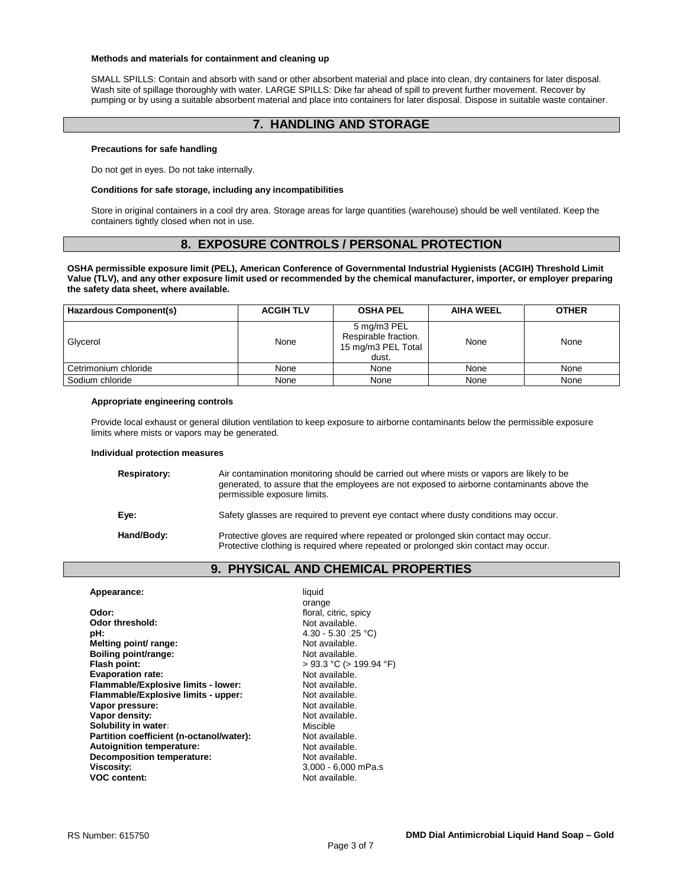#### **Methods and materials for containment and cleaning up**

SMALL SPILLS: Contain and absorb with sand or other absorbent material and place into clean, dry containers for later disposal. Wash site of spillage thoroughly with water. LARGE SPILLS: Dike far ahead of spill to prevent further movement. Recover by pumping or by using a suitable absorbent material and place into containers for later disposal. Dispose in suitable waste container.

# **7. HANDLING AND STORAGE**

## **Precautions for safe handling**

Do not get in eyes. Do not take internally.

#### **Conditions for safe storage, including any incompatibilities**

Store in original containers in a cool dry area. Storage areas for large quantities (warehouse) should be well ventilated. Keep the containers tightly closed when not in use.

# **8. EXPOSURE CONTROLS / PERSONAL PROTECTION**

**OSHA permissible exposure limit (PEL), American Conference of Governmental Industrial Hygienists (ACGIH) Threshold Limit Value (TLV), and any other exposure limit used or recommended by the chemical manufacturer, importer, or employer preparing the safety data sheet, where available.**

| Hazardous Component(s) | <b>ACGIH TLV</b> | <b>OSHA PEL</b>                                                    | <b>AIHA WEEL</b> | <b>OTHER</b> |
|------------------------|------------------|--------------------------------------------------------------------|------------------|--------------|
| Glycerol               | None             | 5 mg/m3 PEL<br>Respirable fraction.<br>15 mg/m3 PEL Total<br>dust. | None             | None         |
| Cetrimonium chloride   | None             | None                                                               | None             | None         |
| Sodium chloride        | None             | None                                                               | None             | None         |

### **Appropriate engineering controls**

Provide local exhaust or general dilution ventilation to keep exposure to airborne contaminants below the permissible exposure limits where mists or vapors may be generated.

#### **Individual protection measures**

| Respiratory: | Air contamination monitoring should be carried out where mists or vapors are likely to be<br>generated, to assure that the employees are not exposed to airborne contaminants above the<br>permissible exposure limits. |
|--------------|-------------------------------------------------------------------------------------------------------------------------------------------------------------------------------------------------------------------------|
| Eye:         | Safety glasses are required to prevent eye contact where dusty conditions may occur.                                                                                                                                    |
| Hand/Body:   | Protective gloves are required where repeated or prolonged skin contact may occur.<br>Protective clothing is required where repeated or prolonged skin contact may occur.                                               |

# **9. PHYSICAL AND CHEMICAL PROPERTIES**

| Appearance:                              | liquid                     |
|------------------------------------------|----------------------------|
|                                          | orange                     |
| Odor:                                    | floral, citric, spicy      |
| Odor threshold:                          | Not available.             |
| pH:                                      | $4.30 - 5.30$ (25 °C)      |
| Melting point/ range:                    | Not available.             |
| Boiling point/range:                     | Not available.             |
| Flash point:                             | $>93.3$ °C ( $>199.94$ °F) |
| <b>Evaporation rate:</b>                 | Not available.             |
| Flammable/Explosive limits - lower:      | Not available.             |
| Flammable/Explosive limits - upper:      | Not available.             |
| Vapor pressure:                          | Not available.             |
| Vapor density:                           | Not available.             |
| Solubility in water:                     | Miscible                   |
| Partition coefficient (n-octanol/water): | Not available.             |
| Autoignition temperature:                | Not available.             |
| <b>Decomposition temperature:</b>        | Not available.             |
| <b>Viscosity:</b>                        | 3,000 - 6,000 mPa.s        |
| <b>VOC content:</b>                      | Not available.             |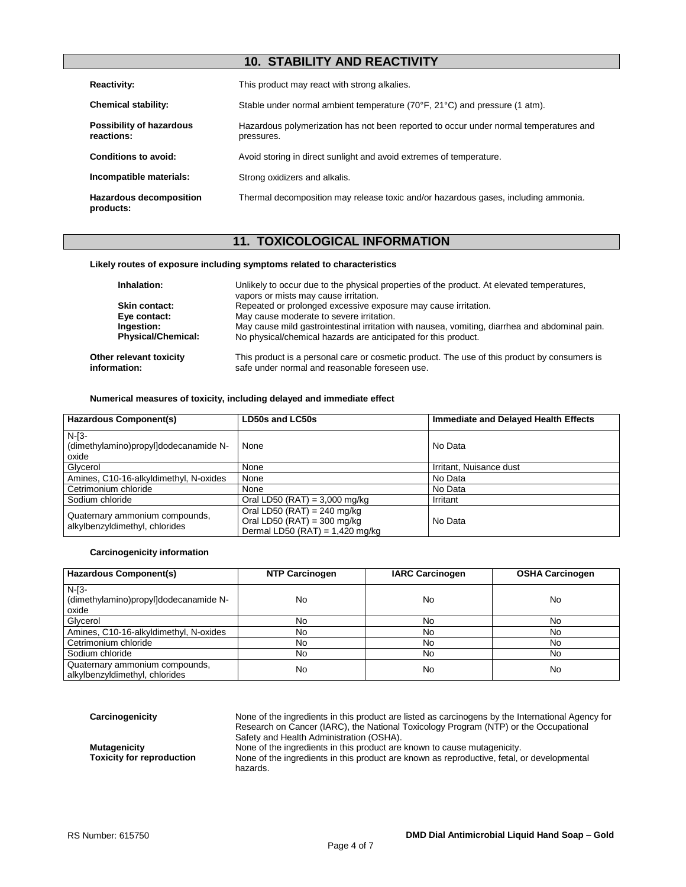# **10. STABILITY AND REACTIVITY**

| <b>Reactivity:</b>                          | This product may react with strong alkalies.                                                        |
|---------------------------------------------|-----------------------------------------------------------------------------------------------------|
| <b>Chemical stability:</b>                  | Stable under normal ambient temperature (70°F, 21°C) and pressure (1 atm).                          |
| Possibility of hazardous<br>reactions:      | Hazardous polymerization has not been reported to occur under normal temperatures and<br>pressures. |
| Conditions to avoid:                        | Avoid storing in direct sunlight and avoid extremes of temperature.                                 |
| Incompatible materials:                     | Strong oxidizers and alkalis.                                                                       |
| <b>Hazardous decomposition</b><br>products: | Thermal decomposition may release toxic and/or hazardous gases, including ammonia.                  |

# **11. TOXICOLOGICAL INFORMATION**

## **Likely routes of exposure including symptoms related to characteristics**

| Inhalation:                             | Unlikely to occur due to the physical properties of the product. At elevated temperatures,<br>vapors or mists may cause irritation.            |
|-----------------------------------------|------------------------------------------------------------------------------------------------------------------------------------------------|
| Skin contact:                           | Repeated or prolonged excessive exposure may cause irritation.                                                                                 |
| Eye contact:                            | May cause moderate to severe irritation.                                                                                                       |
| Ingestion:                              | May cause mild gastrointestinal irritation with nausea, vomiting, diarrhea and abdominal pain.                                                 |
| <b>Physical/Chemical:</b>               | No physical/chemical hazards are anticipated for this product.                                                                                 |
| Other relevant toxicity<br>information: | This product is a personal care or cosmetic product. The use of this product by consumers is<br>safe under normal and reasonable foreseen use. |

## **Numerical measures of toxicity, including delayed and immediate effect**

| <b>Hazardous Component(s)</b>                                    | LD50s and LC50s                                                                                           | Immediate and Delayed Health Effects |
|------------------------------------------------------------------|-----------------------------------------------------------------------------------------------------------|--------------------------------------|
| $N-I3-$<br>(dimethylamino)propylldodecanamide N-<br>oxide        | None                                                                                                      | No Data                              |
| Glycerol                                                         | None                                                                                                      | Irritant, Nuisance dust              |
| Amines, C10-16-alkyldimethyl, N-oxides                           | None                                                                                                      | No Data                              |
| Cetrimonium chloride                                             | None                                                                                                      | No Data                              |
| Sodium chloride                                                  | Oral LD50 (RAT) = $3,000$ mg/kg                                                                           | Irritant                             |
| Quaternary ammonium compounds,<br>alkylbenzyldimethyl, chlorides | Oral LD50 (RAT) = 240 mg/kg<br>Oral LD50 (RAT) = $300 \text{ mg/kg}$<br>Dermal LD50 (RAT) = $1,420$ mg/kg | No Data                              |

## **Carcinogenicity information**

| <b>Hazardous Component(s)</b>                                    | <b>NTP Carcinogen</b> | <b>IARC Carcinogen</b> | <b>OSHA Carcinogen</b> |
|------------------------------------------------------------------|-----------------------|------------------------|------------------------|
| $N-I3-$<br>(dimethylamino)propyl]dodecanamide N-<br>oxide        | No                    | No                     | No                     |
| Glycerol                                                         | No                    | No                     | No                     |
| Amines, C10-16-alkyldimethyl, N-oxides                           | No                    | No                     | No                     |
| Cetrimonium chloride                                             | No                    | No                     | No                     |
| Sodium chloride                                                  | No                    | No                     | No                     |
| Quaternary ammonium compounds,<br>alkylbenzyldimethyl, chlorides | No                    | No                     | No                     |

**Carcinogenicity** None of the ingredients in this product are listed as carcinogens by the International Agency for Research on Cancer (IARC), the National Toxicology Program (NTP) or the Occupational Safety and Health Administration (OSHA). **Mutagenicity** None of the ingredients in this product are known to cause mutagenicity.<br>**Toxicity for reproduction** None of the ingredients in this product are known as reproductive, fetal, one None of the ingredients in this product are known as reproductive, fetal, or developmental hazards.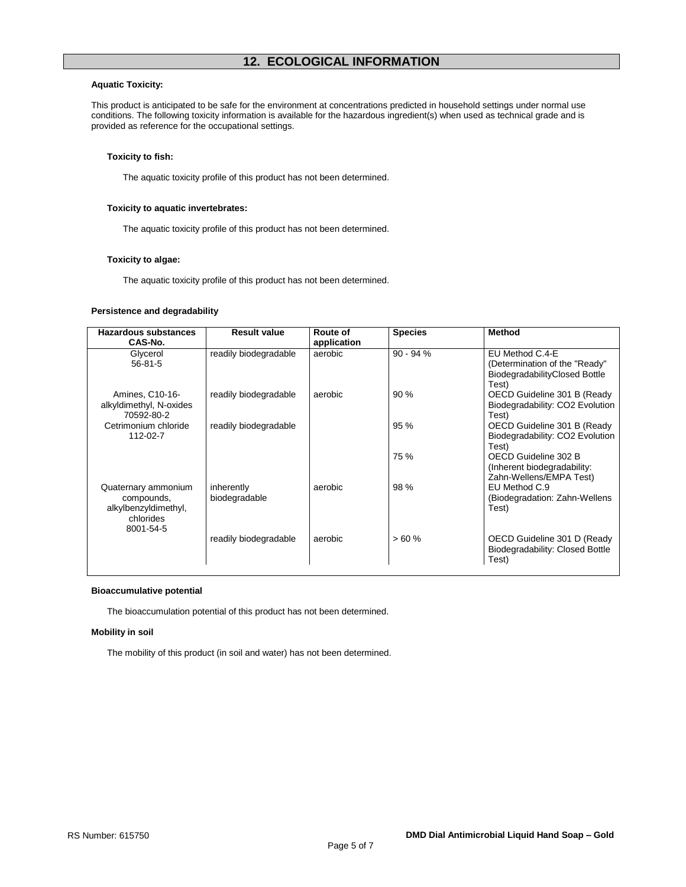## **Aquatic Toxicity:**

This product is anticipated to be safe for the environment at concentrations predicted in household settings under normal use conditions. The following toxicity information is available for the hazardous ingredient(s) when used as technical grade and is provided as reference for the occupational settings.

## **Toxicity to fish:**

The aquatic toxicity profile of this product has not been determined.

## **Toxicity to aquatic invertebrates:**

The aquatic toxicity profile of this product has not been determined.

## **Toxicity to algae:**

The aquatic toxicity profile of this product has not been determined.

## **Persistence and degradability**

| Hazardous substances              | <b>Result value</b>   | Route of    | <b>Species</b> | <b>Method</b>                   |
|-----------------------------------|-----------------------|-------------|----------------|---------------------------------|
| CAS-No.                           |                       | application |                |                                 |
| Glycerol                          | readily biodegradable | aerobic     | $90 - 94%$     | EU Method C.4-E                 |
| $56 - 81 - 5$                     |                       |             |                | (Determination of the "Ready"   |
|                                   |                       |             |                | BiodegradabilityClosed Bottle   |
|                                   |                       |             |                | Test)                           |
| Amines, C10-16-                   | readily biodegradable | aerobic     | 90%            | OECD Guideline 301 B (Ready     |
| alkyldimethyl, N-oxides           |                       |             |                | Biodegradability: CO2 Evolution |
| 70592-80-2                        |                       |             |                | Test)                           |
| Cetrimonium chloride              | readily biodegradable |             | 95 %           | OECD Guideline 301 B (Ready     |
| 112-02-7                          |                       |             |                | Biodegradability: CO2 Evolution |
|                                   |                       |             |                | Test)                           |
|                                   |                       |             | 75 %           | OECD Guideline 302 B            |
|                                   |                       |             |                | (Inherent biodegradability:     |
|                                   |                       |             |                | Zahn-Wellens/EMPA Test)         |
| Quaternary ammonium               | inherently            | aerobic     | 98 %           | EU Method C.9                   |
| compounds,                        | biodegradable         |             |                | (Biodegradation: Zahn-Wellens   |
| alkylbenzyldimethyl,<br>chlorides |                       |             |                | Test)                           |
| 8001-54-5                         |                       |             |                |                                 |
|                                   | readily biodegradable | aerobic     | >60%           | OECD Guideline 301 D (Ready     |
|                                   |                       |             |                | Biodegradability: Closed Bottle |
|                                   |                       |             |                | Test)                           |
|                                   |                       |             |                |                                 |

### **Bioaccumulative potential**

The bioaccumulation potential of this product has not been determined.

## **Mobility in soil**

The mobility of this product (in soil and water) has not been determined.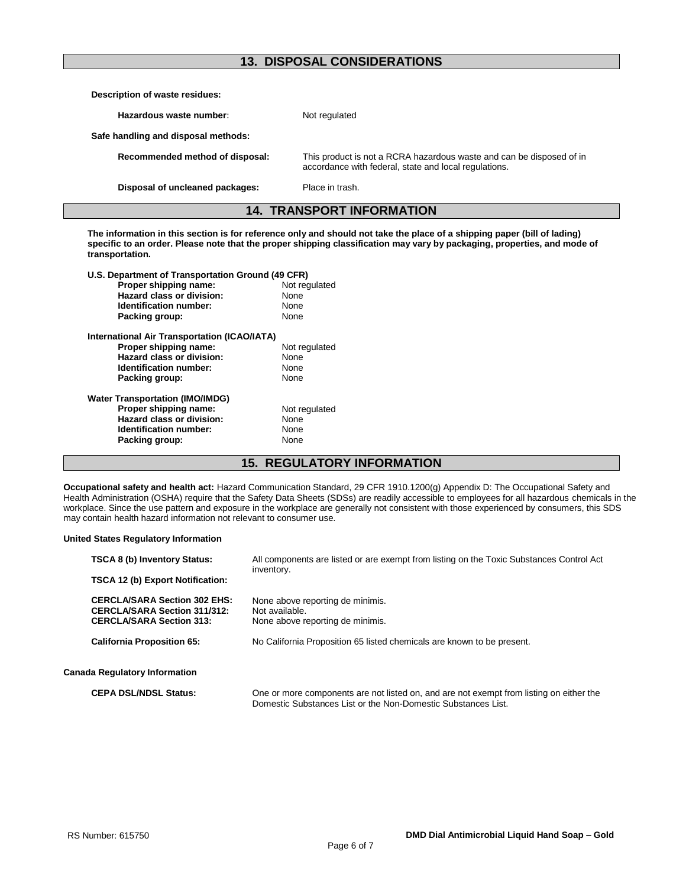# **13. DISPOSAL CONSIDERATIONS**

| Description of waste residues:      |                                                                                                                               |
|-------------------------------------|-------------------------------------------------------------------------------------------------------------------------------|
| Hazardous waste number:             | Not regulated                                                                                                                 |
| Safe handling and disposal methods: |                                                                                                                               |
| Recommended method of disposal:     | This product is not a RCRA hazardous waste and can be disposed of in<br>accordance with federal, state and local regulations. |
| Disposal of uncleaned packages:     | Place in trash.                                                                                                               |

**14. TRANSPORT INFORMATION**

**The information in this section is for reference only and should not take the place of a shipping paper (bill of lading) specific to an order. Please note that the proper shipping classification may vary by packaging, properties, and mode of transportation.**

| U.S. Department of Transportation Ground (49 CFR) |               |  |
|---------------------------------------------------|---------------|--|
| Proper shipping name:                             | Not regulated |  |
| Hazard class or division:                         | None          |  |
| Identification number:                            | None          |  |
| Packing group:                                    | None          |  |
| International Air Transportation (ICAO/IATA)      |               |  |
| Proper shipping name:                             | Not regulated |  |
| Hazard class or division:                         | None          |  |
| Identification number:                            | None          |  |
| Packing group:                                    | None          |  |
| <b>Water Transportation (IMO/IMDG)</b>            |               |  |
| Proper shipping name:                             | Not regulated |  |
| Hazard class or division:                         | None          |  |
| Identification number:                            | None          |  |
| Packing group:                                    | None          |  |
|                                                   |               |  |

# **15. REGULATORY INFORMATION**

**Occupational safety and health act:** Hazard Communication Standard, 29 CFR 1910.1200(g) Appendix D: The Occupational Safety and Health Administration (OSHA) require that the Safety Data Sheets (SDSs) are readily accessible to employees for all hazardous chemicals in the workplace. Since the use pattern and exposure in the workplace are generally not consistent with those experienced by consumers, this SDS may contain health hazard information not relevant to consumer use.

## **United States Regulatory Information**

| <b>TSCA 8 (b) Inventory Status:</b>                                                                           | All components are listed or are exempt from listing on the Toxic Substances Control Act                                                                 |  |  |
|---------------------------------------------------------------------------------------------------------------|----------------------------------------------------------------------------------------------------------------------------------------------------------|--|--|
| <b>TSCA 12 (b) Export Notification:</b>                                                                       | inventory.                                                                                                                                               |  |  |
| <b>CERCLA/SARA Section 302 EHS:</b><br><b>CERCLA/SARA Section 311/312:</b><br><b>CERCLA/SARA Section 313:</b> | None above reporting de minimis.<br>Not available.<br>None above reporting de minimis.                                                                   |  |  |
| <b>California Proposition 65:</b>                                                                             | No California Proposition 65 listed chemicals are known to be present.                                                                                   |  |  |
| <b>Canada Regulatory Information</b>                                                                          |                                                                                                                                                          |  |  |
| <b>CEPA DSL/NDSL Status:</b>                                                                                  | One or more components are not listed on, and are not exempt from listing on either the<br>Domestic Substances List or the Non-Domestic Substances List. |  |  |